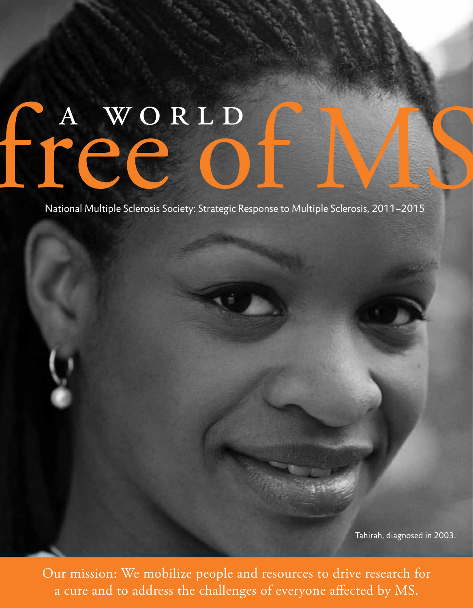# free o

National Multiple Sclerosis Society: Strategic Response to Multiple Sclerosis, 2011–2015

Tahirah, diagnosed in 2003.

Our mission: We mobilize people and resources to drive research for a cure and to address the challenges of everyone affected by MS.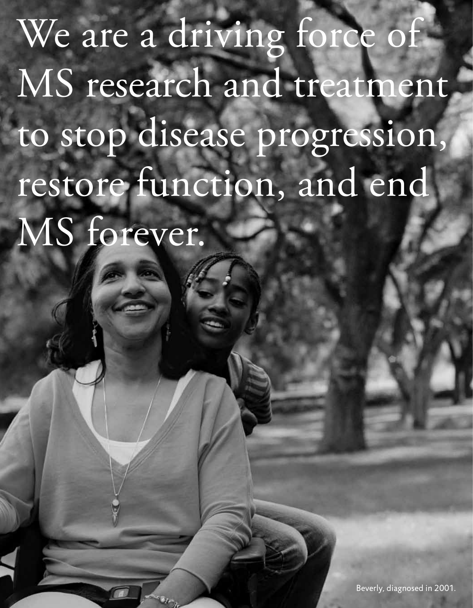We are a driving force of MS research and treatment to stop disease progression, restore function, and end MS forever.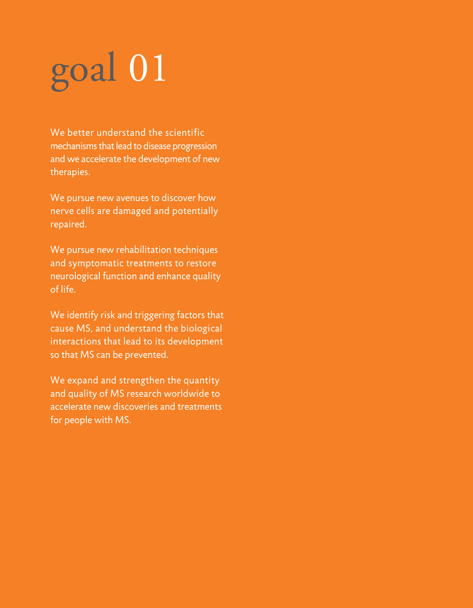We better understand the scientific mechanisms that lead to disease progression and we accelerate the development of new therapies.

We pursue new avenues to discover how nerve cells are damaged and potentially repaired.

We pursue new rehabilitation techniques and symptomatic treatments to restore neurological function and enhance quality of life.

We identify risk and triggering factors that cause MS, and understand the biological interactions that lead to its development so that MS can be prevented.

We expand and strengthen the quantity and quality of MS research worldwide to accelerate new discoveries and treatments for people with MS.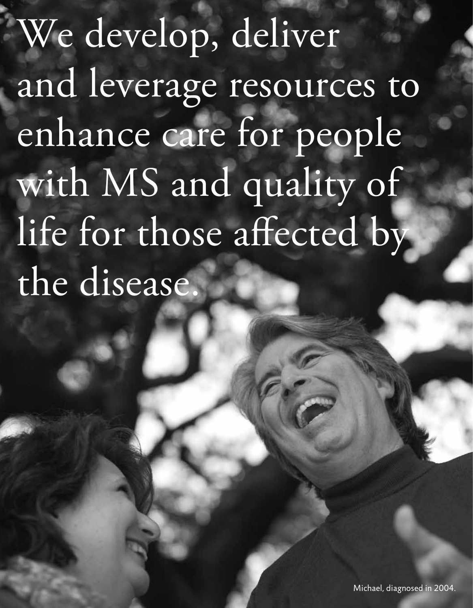We develop, deliver and leverage resources to enhance care for people with MS and quality of life for those affected by the disease.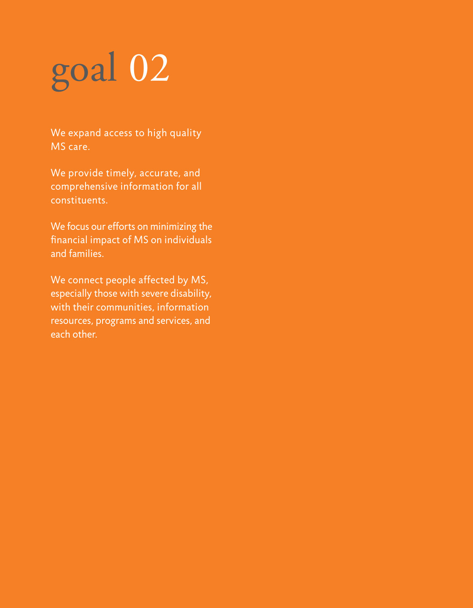We expand access to high quality MS care.

We provide timely, accurate, and comprehensive information for all constituents.

We focus our efforts on minimizing the financial impact of MS on individuals and families.

We connect people affected by MS, especially those with severe disability, with their communities, information resources, programs and services, and each other.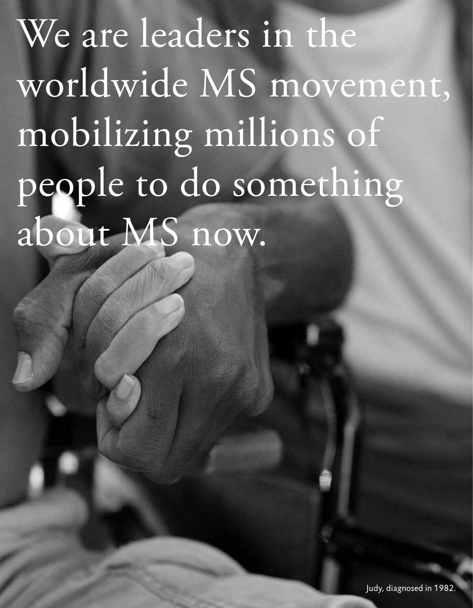We are leaders in the worldwide MS movement, mobilizing millions of people to do something about MS now.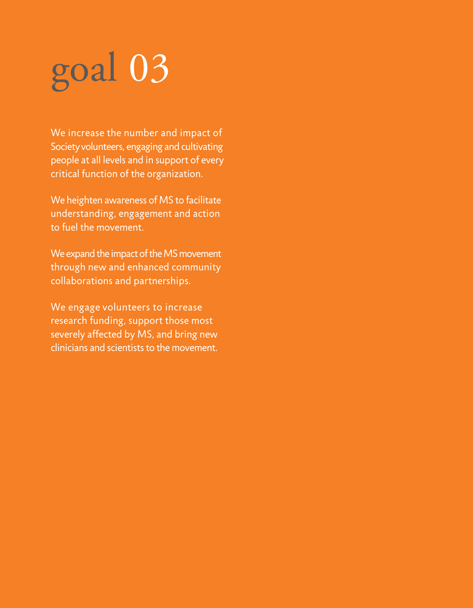We increase the number and impact of Society volunteers, engaging and cultivating people at all levels and in support of every critical function of the organization.

We heighten awareness of MS to facilitate understanding, engagement and action to fuel the movement.

We expand the impact of the MS movement through new and enhanced community collaborations and partnerships.

We engage volunteers to increase research funding, support those most severely affected by MS, and bring new clinicians and scientists to the movement.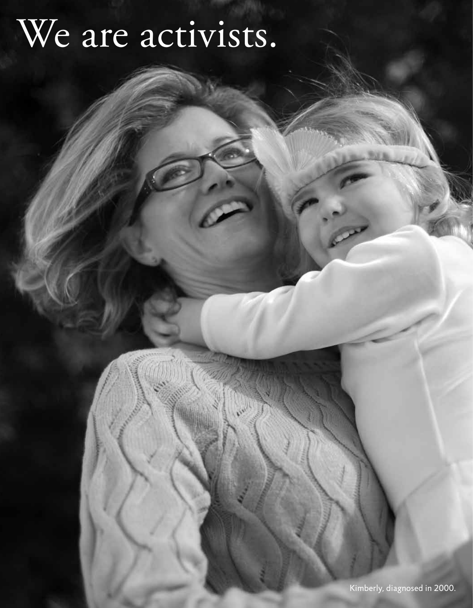### We are activists.

Kimberly, diagnosed in 2000.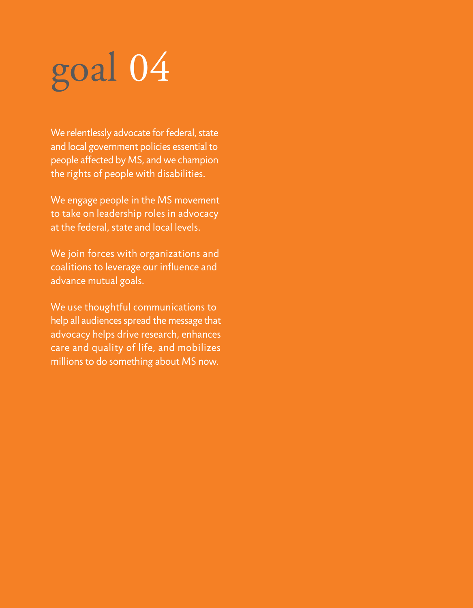We relentlessly advocate for federal, state and local government policies essential to people affected by MS, and we champion the rights of people with disabilities.

We engage people in the MS movement to take on leadership roles in advocacy at the federal, state and local levels.

We join forces with organizations and coalitions to leverage our influence and advance mutual goals.

We use thoughtful communications to help all audiences spread the message that advocacy helps drive research, enhances care and quality of life, and mobilizes millions to do something about MS now.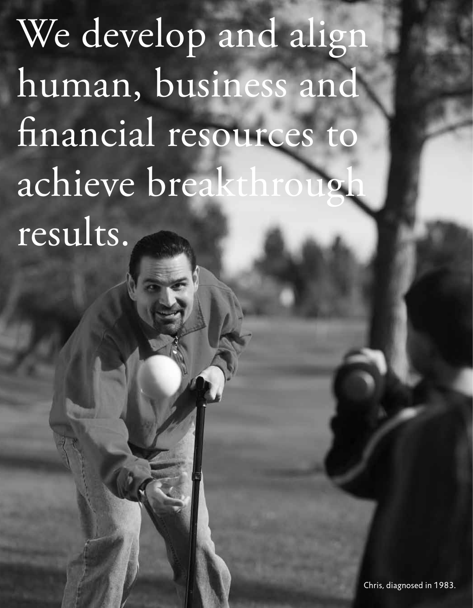We develop and align human, business and financial resources to achieve breakthrou results.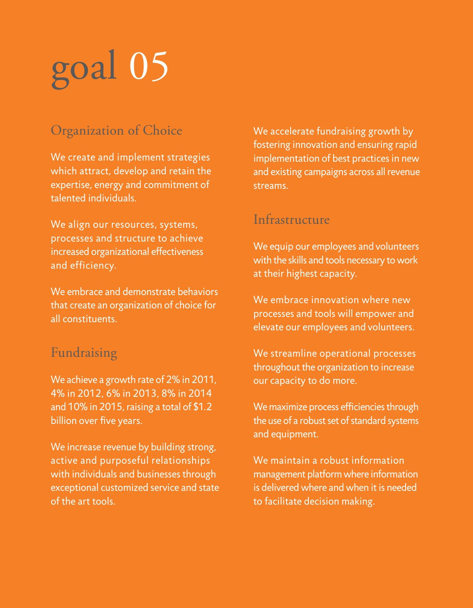#### Organization of Choice

We create and implement strategies which attract, develop and retain the expertise, energy and commitment of talented individuals.

We align our resources, systems, processes and structure to achieve increased organizational effectiveness and efficiency.

We embrace and demonstrate behaviors that create an organization of choice for all constituents.

#### Fundraising

We achieve a growth rate of 2% in 2011, 4% in 2012, 6% in 2013, 8% in 2014 and 10% in 2015, raising a total of \$1.2 billion over five years.

We increase revenue by building strong, active and purposeful relationships with individuals and businesses through exceptional customized service and state of the art tools.

We accelerate fundraising growth by fostering innovation and ensuring rapid implementation of best practices in new and existing campaigns across all revenue streams.

#### Infrastructure

We equip our employees and volunteers with the skills and tools necessary to work at their highest capacity.

We embrace innovation where new processes and tools will empower and elevate our employees and volunteers.

We streamline operational processes throughout the organization to increase our capacity to do more.

We maximize process efficiencies through the use of a robust set of standard systems and equipment.

We maintain a robust information management platform where information is delivered where and when it is needed to facilitate decision making.